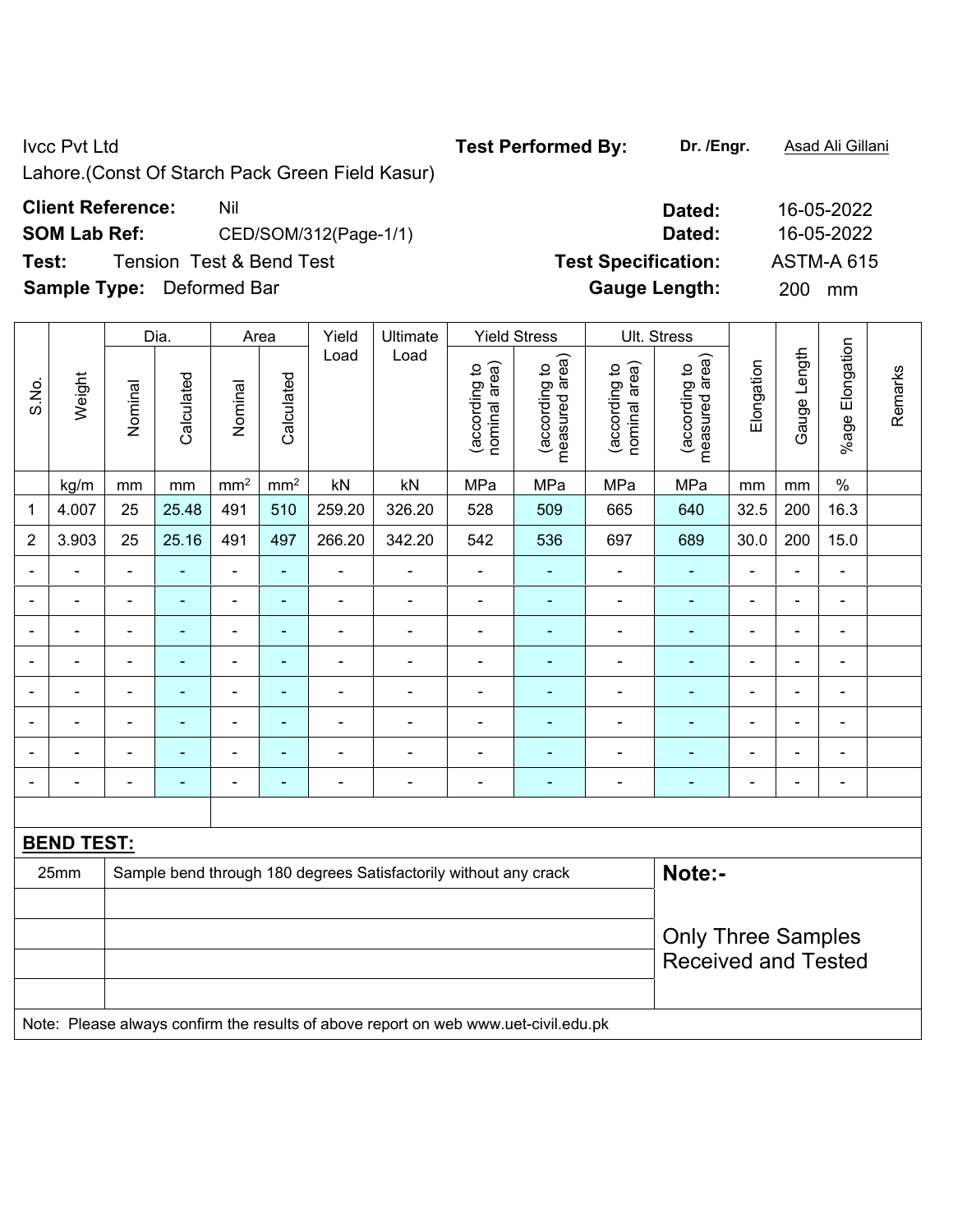Lahore.(Const Of Starch Pack Green Field Kasur)

# **Client Reference:** Nil Nil 2009 Nil 2012 2022

**SOM Lab Ref:** CED/SOM/312(Page-1/1) **Dated:** 16-05-2022

**Test:** Tension Test & Bend Test **Test Specification:** ASTM-A 615

**Sample Type:** Deformed Bar **Gauge Length:** 200 mm

|                          |                   |                | Dia.           |                           | Area                      | Yield          | Ultimate                                                                            |                                | <b>Yield Stress</b>             |                                | Ult. Stress                     |                |                |                 |         |
|--------------------------|-------------------|----------------|----------------|---------------------------|---------------------------|----------------|-------------------------------------------------------------------------------------|--------------------------------|---------------------------------|--------------------------------|---------------------------------|----------------|----------------|-----------------|---------|
| S.No.                    | Weight            | Nominal        | Calculated     | Nominal                   | Calculated                | Load           | Load                                                                                | nominal area)<br>(according to | measured area)<br>(according to | nominal area)<br>(according to | measured area)<br>(according to | Elongation     | Gauge Length   | %age Elongation | Remarks |
|                          | kg/m              | mm             | mm             | $\mathbf{m}$ <sup>2</sup> | $\mathbf{m}$ <sup>2</sup> | kN             | kN                                                                                  | MPa                            | MPa                             | MPa                            | MPa                             | mm             | mm             | $\%$            |         |
| 1                        | 4.007             | 25             | 25.48          | 491                       | 510                       | 259.20         | 326.20                                                                              | 528                            | 509                             | 665                            | 640                             | 32.5           | 200            | 16.3            |         |
| $\overline{2}$           | 3.903             | 25             | 25.16          | 491                       | 497                       | 266.20         | 342.20                                                                              | 542                            | 536                             | 697                            | 689                             | 30.0           | 200            | 15.0            |         |
|                          |                   | $\blacksquare$ |                | $\blacksquare$            | L,                        |                | $\blacksquare$                                                                      |                                |                                 | $\blacksquare$                 | ä,                              |                | $\overline{a}$ | ä,              |         |
|                          |                   | $\blacksquare$ | $\blacksquare$ | $\blacksquare$            | $\blacksquare$            |                | $\blacksquare$                                                                      | $\blacksquare$                 | ٠                               | $\overline{\phantom{a}}$       | $\blacksquare$                  |                | $\blacksquare$ | $\blacksquare$  |         |
| $\overline{\phantom{0}}$ |                   | $\blacksquare$ | $\blacksquare$ | $\blacksquare$            | ٠                         |                | $\blacksquare$                                                                      |                                | ۰                               | $\blacksquare$                 | ۰                               | $\blacksquare$ | $\blacksquare$ | $\blacksquare$  |         |
| $\blacksquare$           |                   | $\blacksquare$ |                | $\blacksquare$            | ÷                         | $\blacksquare$ | ÷,                                                                                  | $\blacksquare$                 | ٠                               | $\qquad \qquad \blacksquare$   | ÷                               | $\blacksquare$ | $\blacksquare$ | $\blacksquare$  |         |
| $\blacksquare$           | $\overline{a}$    | $\overline{a}$ | $\blacksquare$ | $\overline{\phantom{a}}$  | $\blacksquare$            | $\blacksquare$ | $\blacksquare$                                                                      | $\blacksquare$                 | ۰                               | $\overline{\phantom{a}}$       | $\blacksquare$                  | $\blacksquare$ | $\blacksquare$ | $\blacksquare$  |         |
| $\blacksquare$           |                   | $\blacksquare$ | $\blacksquare$ | ÷,                        | ä,                        | ä,             | ÷,                                                                                  | $\blacksquare$                 | ÷,                              | ÷,                             | $\blacksquare$                  | ä,             | ä,             | ÷,              |         |
|                          | $\overline{a}$    | $\blacksquare$ | $\blacksquare$ | $\blacksquare$            | ٠                         | $\blacksquare$ | ÷,                                                                                  | $\blacksquare$                 | ۰                               | $\blacksquare$                 | $\blacksquare$                  | $\blacksquare$ | $\blacksquare$ | $\blacksquare$  |         |
|                          | $\blacksquare$    | ä,             | $\blacksquare$ | $\blacksquare$            | $\blacksquare$            | $\blacksquare$ | ÷,                                                                                  | $\blacksquare$                 | ä,                              | $\blacksquare$                 | $\blacksquare$                  | ä,             | $\blacksquare$ | ÷,              |         |
|                          |                   |                |                |                           |                           |                |                                                                                     |                                |                                 |                                |                                 |                |                |                 |         |
|                          | <b>BEND TEST:</b> |                |                |                           |                           |                |                                                                                     |                                |                                 |                                |                                 |                |                |                 |         |
|                          | 25mm              |                |                |                           |                           |                | Sample bend through 180 degrees Satisfactorily without any crack                    |                                |                                 |                                | Note:-                          |                |                |                 |         |
|                          |                   |                |                |                           |                           |                |                                                                                     |                                |                                 |                                |                                 |                |                |                 |         |
|                          |                   |                |                |                           |                           |                |                                                                                     |                                |                                 |                                | <b>Only Three Samples</b>       |                |                |                 |         |
|                          |                   |                |                |                           |                           |                |                                                                                     |                                |                                 |                                | <b>Received and Tested</b>      |                |                |                 |         |
|                          |                   |                |                |                           |                           |                |                                                                                     |                                |                                 |                                |                                 |                |                |                 |         |
|                          |                   |                |                |                           |                           |                | Note: Please always confirm the results of above report on web www.uet-civil.edu.pk |                                |                                 |                                |                                 |                |                |                 |         |

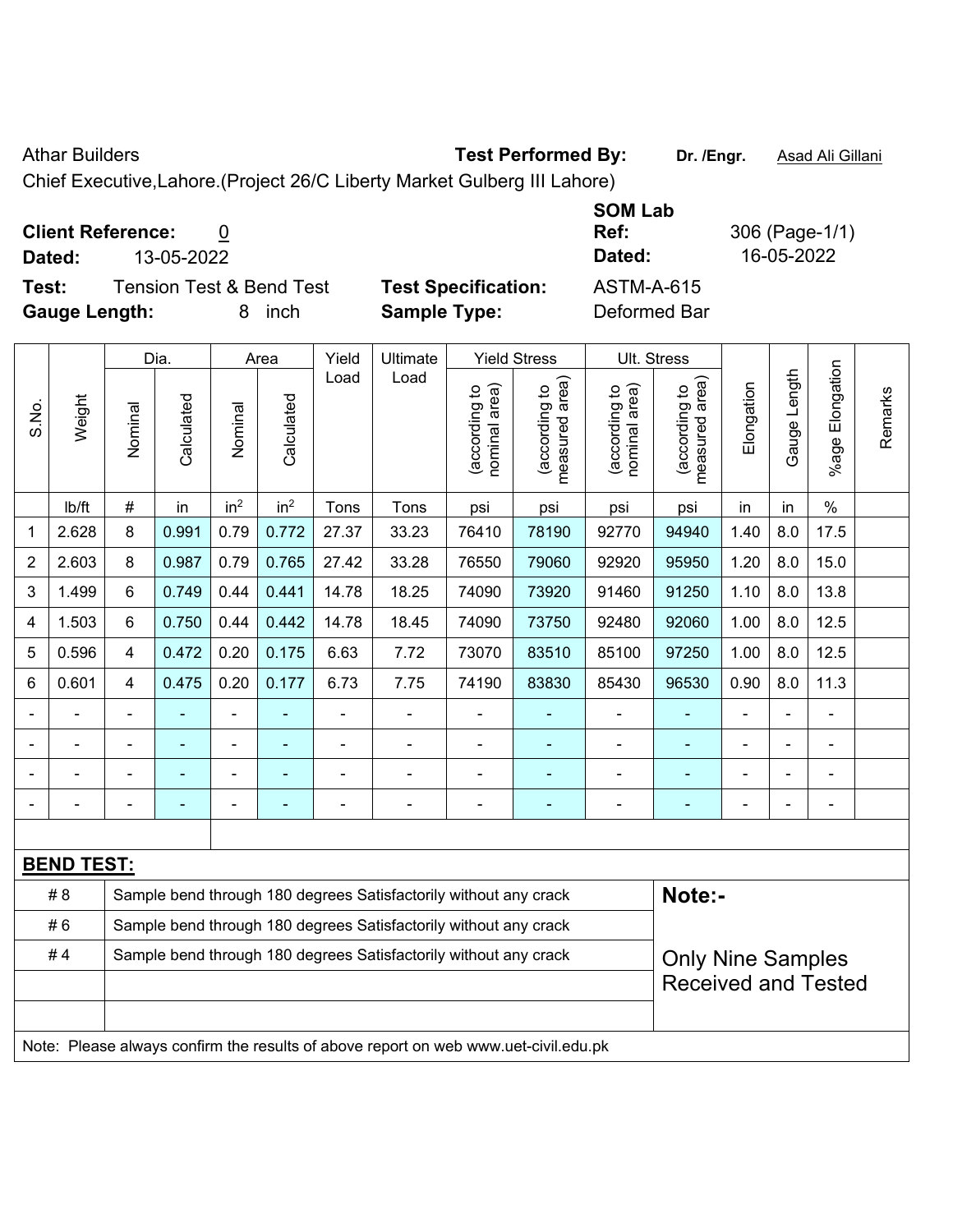### Athar Builders **Test Performed By:** Dr. /Engr. **Asad Ali Gillani** Athar Builders

Chief Executive,Lahore.(Project 26/C Liberty Market Gulberg III Lahore)

## **Client Reference:** 0

**Test:** Tension Test & Bend Test **Test Specification:** ASTM-A-615 **Gauge Length:** 8 inch **Sample Type:** Deformed Bar

**Ref:** 306 (Page-1/1) **Dated:** 13-05-2022 **Dated:** 16-05-2022

**SOM Lab** 

|                |                   |                         | Dia.       |                          | Area            | Yield          | Ultimate                                                                            |                                | <b>Yield Stress</b>             |                                | Ult. Stress                     |                |              |                       |         |
|----------------|-------------------|-------------------------|------------|--------------------------|-----------------|----------------|-------------------------------------------------------------------------------------|--------------------------------|---------------------------------|--------------------------------|---------------------------------|----------------|--------------|-----------------------|---------|
| S.No.          | Weight            | Nominal                 | Calculated | Nominal                  | Calculated      | Load           | Load                                                                                | (according to<br>nominal area) | (according to<br>measured area) | (according to<br>nominal area) | (according to<br>measured area) | Elongation     | Gauge Length | Elongation<br>$%$ age | Remarks |
|                | Ib/ft             | $\#$                    | in         | in <sup>2</sup>          | in <sup>2</sup> | Tons           | Tons                                                                                | psi                            | psi                             | psi                            | psi                             | in             | in           | $\%$                  |         |
| 1              | 2.628             | 8                       | 0.991      | 0.79                     | 0.772           | 27.37          | 33.23                                                                               | 76410                          | 78190                           | 92770                          | 94940                           | 1.40           | 8.0          | 17.5                  |         |
| $\overline{2}$ | 2.603             | 8                       | 0.987      | 0.79                     | 0.765           | 27.42          | 33.28                                                                               | 76550                          | 79060                           | 92920                          | 95950                           | 1.20           | 8.0          | 15.0                  |         |
| 3              | 1.499             | 6                       | 0.749      | 0.44                     | 0.441           | 14.78          | 18.25                                                                               | 74090                          | 73920                           | 91460                          | 91250                           | 1.10           | 8.0          | 13.8                  |         |
| 4              | 1.503             | 6                       | 0.750      | 0.44                     | 0.442           | 14.78          | 18.45                                                                               | 74090                          | 73750                           | 92480                          | 92060                           | 1.00           | 8.0          | 12.5                  |         |
| 5              | 0.596             | $\overline{\mathbf{4}}$ | 0.472      | 0.20                     | 0.175           | 6.63           | 7.72                                                                                | 73070                          | 83510                           | 85100                          | 97250                           | 1.00           | 8.0          | 12.5                  |         |
| 6              | 0.601             | 4                       | 0.475      | 0.20                     | 0.177           | 6.73           | 7.75                                                                                | 74190                          | 83830                           | 85430                          | 96530                           | 0.90           | 8.0          | 11.3                  |         |
|                |                   | $\blacksquare$          |            | ۰                        |                 |                |                                                                                     |                                |                                 |                                |                                 |                |              |                       |         |
|                |                   | $\blacksquare$          |            | ÷,                       |                 | $\blacksquare$ | ÷                                                                                   | $\blacksquare$                 |                                 | $\overline{\phantom{a}}$       | $\blacksquare$                  |                |              | $\blacksquare$        |         |
|                |                   | $\blacksquare$          |            |                          |                 | ÷              | ÷                                                                                   | $\blacksquare$                 |                                 |                                | ä,                              |                |              | $\blacksquare$        |         |
|                |                   | $\overline{a}$          |            | $\overline{\phantom{a}}$ | $\overline{a}$  | ÷              | ÷                                                                                   | $\overline{a}$                 |                                 | ×,                             | $\blacksquare$                  | $\blacksquare$ |              | $\blacksquare$        |         |
|                |                   |                         |            |                          |                 |                |                                                                                     |                                |                                 |                                |                                 |                |              |                       |         |
|                | <b>BEND TEST:</b> |                         |            |                          |                 |                |                                                                                     |                                |                                 |                                |                                 |                |              |                       |         |
|                | #8                |                         |            |                          |                 |                | Sample bend through 180 degrees Satisfactorily without any crack                    |                                |                                 |                                | Note:-                          |                |              |                       |         |
|                | #6                |                         |            |                          |                 |                | Sample bend through 180 degrees Satisfactorily without any crack                    |                                |                                 |                                |                                 |                |              |                       |         |
|                | #4                |                         |            |                          |                 |                | Sample bend through 180 degrees Satisfactorily without any crack                    |                                |                                 |                                | <b>Only Nine Samples</b>        |                |              |                       |         |
|                |                   |                         |            |                          |                 |                |                                                                                     |                                |                                 |                                | <b>Received and Tested</b>      |                |              |                       |         |
|                |                   |                         |            |                          |                 |                |                                                                                     |                                |                                 |                                |                                 |                |              |                       |         |
|                |                   |                         |            |                          |                 |                | Note: Please always confirm the results of above report on web www.uet-civil.edu.pk |                                |                                 |                                |                                 |                |              |                       |         |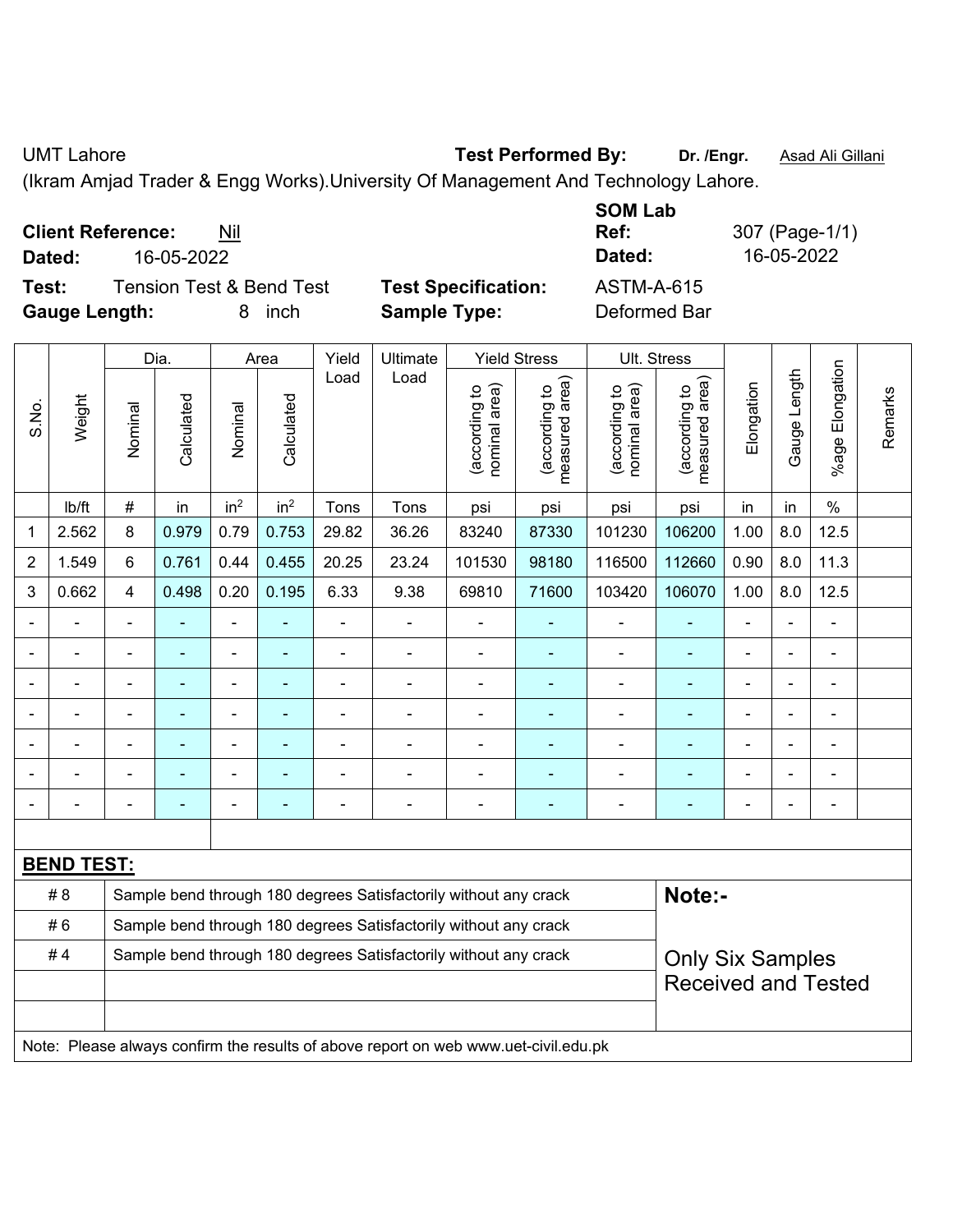UMT Lahore **Test Performed By:** Dr. /Engr. **Asad Ali Gillani** Assembly Dr. /Engr. **Asad Ali Gillani** 

(Ikram Amjad Trader & Engg Works).University Of Management And Technology Lahore.

| <b>Client Reference:</b> | Nil |
|--------------------------|-----|
|--------------------------|-----|

**Test:** Tension Test & Bend Test **Test Specification:** ASTM-A-615 **Gauge Length:** 8 inch **Sample Type:** Deformed Bar

**SOM Lab Ref:** 307 (Page-1/1) **Dated:** 16-05-2022 **Dated:** 16-05-2022

|                |                   |                | Dia.           |                 | Area            | Yield          | Ultimate                                                                            |                                | <b>Yield Stress</b>             |                                | Ult. Stress                     |                |              |                       |         |
|----------------|-------------------|----------------|----------------|-----------------|-----------------|----------------|-------------------------------------------------------------------------------------|--------------------------------|---------------------------------|--------------------------------|---------------------------------|----------------|--------------|-----------------------|---------|
| S.No.          | Weight            | Nominal        | Calculated     | Nominal         | Calculated      | Load           | Load                                                                                | nominal area)<br>(according to | (according to<br>measured area) | (according to<br>nominal area) | (according to<br>measured area) | Elongation     | Gauge Length | Elongation<br>$%$ age | Remarks |
|                | lb/ft             | $\#$           | in             | in <sup>2</sup> | in <sup>2</sup> | Tons           | Tons                                                                                | psi                            | psi                             | psi                            | psi                             | in             | in           | $\%$                  |         |
| 1              | 2.562             | 8              | 0.979          | 0.79            | 0.753           | 29.82          | 36.26                                                                               | 83240                          | 87330                           | 101230                         | 106200                          | 1.00           | 8.0          | 12.5                  |         |
| $\overline{2}$ | 1.549             | 6              | 0.761          | 0.44            | 0.455           | 20.25          | 23.24                                                                               | 101530                         | 98180                           | 116500                         | 112660                          | 0.90           | 8.0          | 11.3                  |         |
| 3              | 0.662             | $\overline{4}$ | 0.498          | 0.20            | 0.195           | 6.33           | 9.38                                                                                | 69810                          | 71600                           | 103420                         | 106070                          | 1.00           | 8.0          | 12.5                  |         |
|                |                   | $\blacksquare$ | ä,             | $\blacksquare$  |                 | $\blacksquare$ | ÷,                                                                                  | ÷,                             | $\blacksquare$                  | $\blacksquare$                 | $\blacksquare$                  | ä,             |              | $\blacksquare$        |         |
|                | $\blacksquare$    | $\blacksquare$ | $\blacksquare$ | $\blacksquare$  | $\blacksquare$  | $\frac{1}{2}$  | ÷,                                                                                  | $\qquad \qquad \blacksquare$   | $\blacksquare$                  | $\blacksquare$                 | $\blacksquare$                  | $\blacksquare$ |              | $\blacksquare$        |         |
|                |                   | $\blacksquare$ | ä,             | $\blacksquare$  |                 | ÷.             | $\blacksquare$                                                                      | ä,                             | $\blacksquare$                  | $\blacksquare$                 | $\blacksquare$                  | $\blacksquare$ |              | $\blacksquare$        |         |
|                |                   |                | $\blacksquare$ | ä,              |                 | $\blacksquare$ | $\blacksquare$                                                                      | ä,                             | $\blacksquare$                  | $\blacksquare$                 | ä,                              | $\blacksquare$ |              | ä,                    |         |
|                |                   |                |                | ÷               |                 |                |                                                                                     | ۰                              |                                 |                                |                                 |                |              | Ē,                    |         |
|                |                   |                | Ē,             | $\blacksquare$  |                 | $\blacksquare$ | $\blacksquare$                                                                      | ÷,                             | $\blacksquare$                  | $\blacksquare$                 | ä,                              | $\blacksquare$ |              | $\blacksquare$        |         |
|                |                   |                | ٠              | ÷               |                 | $\blacksquare$ | $\blacksquare$                                                                      | ÷,                             | $\blacksquare$                  | $\blacksquare$                 | $\blacksquare$                  | $\blacksquare$ |              | ä,                    |         |
|                |                   |                |                |                 |                 |                |                                                                                     |                                |                                 |                                |                                 |                |              |                       |         |
|                | <b>BEND TEST:</b> |                |                |                 |                 |                |                                                                                     |                                |                                 |                                |                                 |                |              |                       |         |
|                | #8                |                |                |                 |                 |                | Sample bend through 180 degrees Satisfactorily without any crack                    |                                |                                 |                                | Note:-                          |                |              |                       |         |
|                | #6                |                |                |                 |                 |                | Sample bend through 180 degrees Satisfactorily without any crack                    |                                |                                 |                                |                                 |                |              |                       |         |
|                | #4                |                |                |                 |                 |                | Sample bend through 180 degrees Satisfactorily without any crack                    |                                |                                 |                                | <b>Only Six Samples</b>         |                |              |                       |         |
|                |                   |                |                |                 |                 |                |                                                                                     |                                |                                 |                                | <b>Received and Tested</b>      |                |              |                       |         |
|                |                   |                |                |                 |                 |                |                                                                                     |                                |                                 |                                |                                 |                |              |                       |         |
|                |                   |                |                |                 |                 |                | Note: Please always confirm the results of above report on web www.uet-civil.edu.pk |                                |                                 |                                |                                 |                |              |                       |         |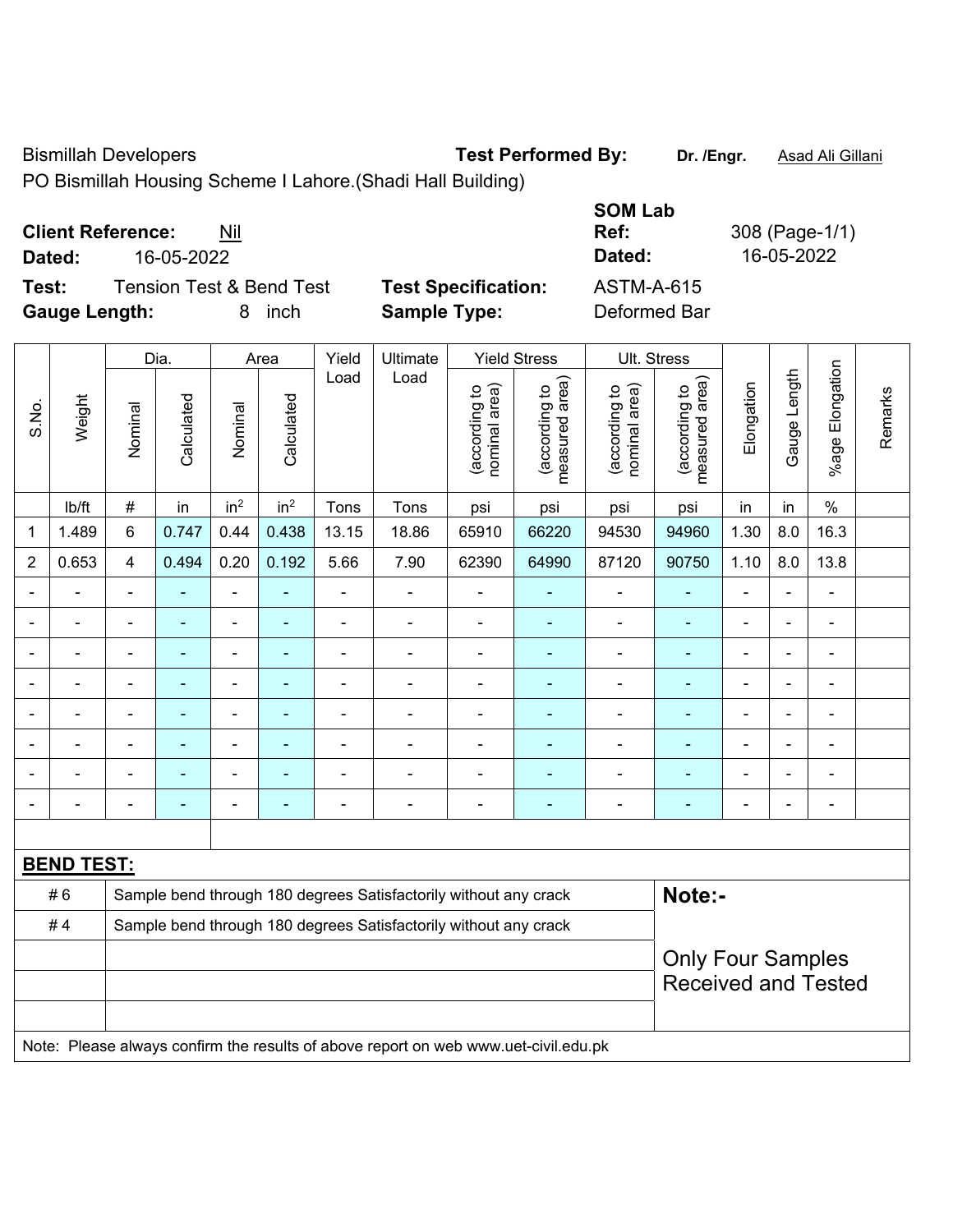Bismillah Developers **Test Performed By:** Dr. /Engr. **Asad Ali Gillani** 

PO Bismillah Housing Scheme I Lahore.(Shadi Hall Building)

| <b>Client Reference:</b> | Nil                      |            |                            | SUM LAD<br>Ref: | 308 (Page-1/1) |
|--------------------------|--------------------------|------------|----------------------------|-----------------|----------------|
| Dated:                   | 16-05-2022               |            |                            | Dated:          | 16-05-2022     |
| Test:                    | Tension Test & Bend Test |            | <b>Test Specification:</b> | ASTM-A-615      |                |
| <b>Gauge Length:</b>     |                          | inch<br>8. | <b>Sample Type:</b>        | Deformed Bar    |                |

|                |                   |                         | Dia.           |                 | Area            | Yield          | Ultimate                                                                            |                                | <b>Yield Stress</b>             |                                | Ult. Stress                                            |                |                |                         |         |
|----------------|-------------------|-------------------------|----------------|-----------------|-----------------|----------------|-------------------------------------------------------------------------------------|--------------------------------|---------------------------------|--------------------------------|--------------------------------------------------------|----------------|----------------|-------------------------|---------|
| S.No.          | Weight            | Nominal                 | Calculated     | Nominal         | Calculated      | Load           | Load                                                                                | (according to<br>nominal area) | (according to<br>measured area) | nominal area)<br>(according to | (according to<br>measured area)                        | Elongation     | Gauge Length   | Elongation<br>$%$ age I | Remarks |
|                | lb/ft             | $\#$                    | in             | in <sup>2</sup> | in <sup>2</sup> | Tons           | Tons                                                                                | psi                            | psi                             | psi                            | psi                                                    | in             | in             | $\%$                    |         |
| 1              | 1.489             | $6\phantom{a}$          | 0.747          | 0.44            | 0.438           | 13.15          | 18.86                                                                               | 65910                          | 66220                           | 94530                          | 94960                                                  | 1.30           | 8.0            | 16.3                    |         |
| $\overline{2}$ | 0.653             | $\overline{\mathbf{4}}$ | 0.494          | 0.20            | 0.192           | 5.66           | 7.90                                                                                | 62390                          | 64990                           | 87120                          | 90750                                                  | 1.10           | 8.0            | 13.8                    |         |
| $\blacksquare$ | ÷.                | $\blacksquare$          | $\blacksquare$ | ä,              |                 | $\blacksquare$ | $\blacksquare$                                                                      | $\blacksquare$                 | $\blacksquare$                  |                                | $\blacksquare$                                         | ä,             | $\blacksquare$ | $\blacksquare$          |         |
|                | $\blacksquare$    | $\blacksquare$          | ٠              | ÷,              | $\blacksquare$  | $\blacksquare$ | $\blacksquare$                                                                      | $\blacksquare$                 | ٠                               | $\blacksquare$                 | $\blacksquare$                                         | $\blacksquare$ | $\blacksquare$ | $\blacksquare$          |         |
|                | ÷                 | $\blacksquare$          | ٠              | ÷,              |                 | $\blacksquare$ | $\blacksquare$                                                                      | $\blacksquare$                 | $\blacksquare$                  | $\blacksquare$                 | $\blacksquare$                                         | Ē,             |                | $\blacksquare$          |         |
|                | $\blacksquare$    | $\blacksquare$          | ۰              | $\blacksquare$  |                 | $\blacksquare$ | $\blacksquare$                                                                      | $\blacksquare$                 | $\blacksquare$                  | $\blacksquare$                 | $\blacksquare$                                         | $\overline{a}$ |                | $\blacksquare$          |         |
|                |                   |                         | ۰              | $\blacksquare$  |                 |                | $\blacksquare$                                                                      | $\blacksquare$                 |                                 | Ē,                             | $\blacksquare$                                         |                |                | $\blacksquare$          |         |
|                |                   |                         |                |                 |                 |                |                                                                                     |                                |                                 |                                |                                                        |                |                |                         |         |
|                |                   |                         |                | ۰               |                 |                |                                                                                     | $\blacksquare$                 |                                 |                                |                                                        |                |                | $\blacksquare$          |         |
|                |                   |                         | ۰              | $\blacksquare$  |                 | Ē,             | $\blacksquare$                                                                      | $\blacksquare$                 | ٠                               | $\blacksquare$                 | $\blacksquare$                                         | $\blacksquare$ |                | $\blacksquare$          |         |
|                |                   |                         |                |                 |                 |                |                                                                                     |                                |                                 |                                |                                                        |                |                |                         |         |
|                | <b>BEND TEST:</b> |                         |                |                 |                 |                |                                                                                     |                                |                                 |                                |                                                        |                |                |                         |         |
|                | #6                |                         |                |                 |                 |                | Sample bend through 180 degrees Satisfactorily without any crack                    |                                |                                 |                                | Note:-                                                 |                |                |                         |         |
|                | #4                |                         |                |                 |                 |                | Sample bend through 180 degrees Satisfactorily without any crack                    |                                |                                 |                                |                                                        |                |                |                         |         |
|                |                   |                         |                |                 |                 |                |                                                                                     |                                |                                 |                                | <b>Only Four Samples</b><br><b>Received and Tested</b> |                |                |                         |         |
|                |                   |                         |                |                 |                 |                | Note: Please always confirm the results of above report on web www.uet-civil.edu.pk |                                |                                 |                                |                                                        |                |                |                         |         |

**SOM Lab**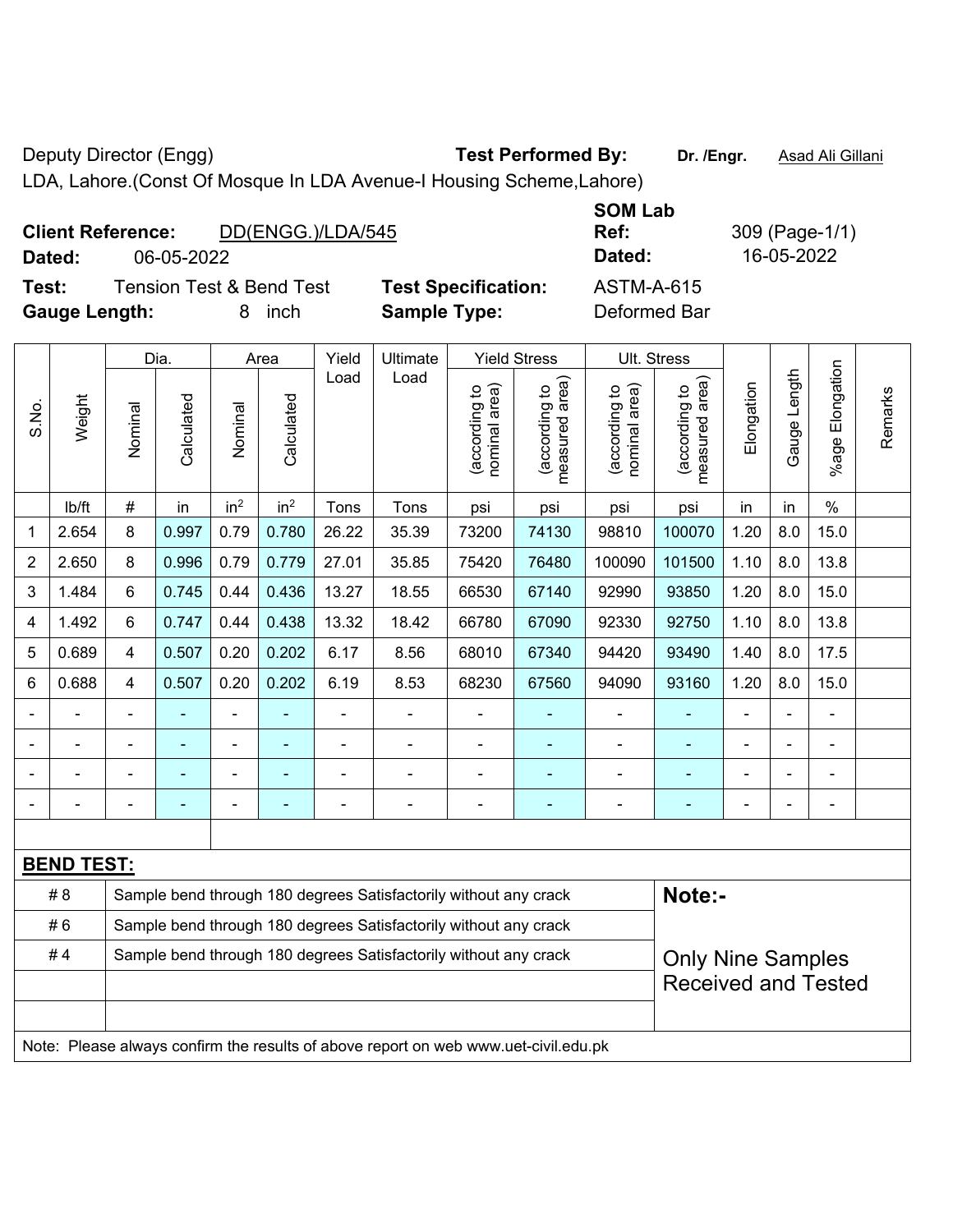Deputy Director (Engg) **Test Performed By:** Dr. /Engr. **Asad Ali Gillani** Computer of Asad Ali Gillani

LDA, Lahore.(Const Of Mosque In LDA Avenue-I Housing Scheme,Lahore)

| <b>Client Reference:</b> |            | DD(ENGG.)/LDA/545                   |                  |
|--------------------------|------------|-------------------------------------|------------------|
| Dated:                   | 06-05-2022 |                                     |                  |
| Test:                    |            | <b>Tension Test &amp; Bend Test</b> | <b>Test Spec</b> |

**Dated:** 06-05-2022 **Dated:** 16-05-2022 **Testion:** ASTM-A-615

**SOM Lab** 

**Ref:** 309 (Page-1/1)

**Gauge Length:** 8 inch **Sample Type:** Deformed Bar

Note: Please always confirm the results of above report on web www.uet-civil.edu.pk

|                |                   |                | Dia.       |                 | Area            | Yield          | Ultimate                                                         |                                | <b>Yield Stress</b>                         |                                | Ult. Stress                     |                |                |                 |         |
|----------------|-------------------|----------------|------------|-----------------|-----------------|----------------|------------------------------------------------------------------|--------------------------------|---------------------------------------------|--------------------------------|---------------------------------|----------------|----------------|-----------------|---------|
| S.No.          | Weight            | Nominal        | Calculated | Nominal         | Calculated      | Load           | Load                                                             | nominal area)<br>(according to | (according to<br>measured area)<br>measured | nominal area)<br>(according to | measured area)<br>(according to | Elongation     | Gauge Length   | %age Elongation | Remarks |
|                | lb/ft             | #              | in         | in <sup>2</sup> | in <sup>2</sup> | Tons           | Tons                                                             | psi                            | psi                                         | psi                            | psi                             | in             | in             | $\frac{0}{0}$   |         |
| 1              | 2.654             | 8              | 0.997      | 0.79            | 0.780           | 26.22          | 35.39                                                            | 73200                          | 74130                                       | 98810                          | 100070                          | 1.20           | 8.0            | 15.0            |         |
| 2              | 2.650             | 8              | 0.996      | 0.79            | 0.779           | 27.01          | 35.85                                                            | 75420                          | 76480                                       | 100090                         | 101500                          | 1.10           | 8.0            | 13.8            |         |
| 3              | 1.484             | 6              | 0.745      | 0.44            | 0.436           | 13.27          | 18.55                                                            | 66530                          | 67140                                       | 92990                          | 93850                           | 1.20           | 8.0            | 15.0            |         |
| 4              | 1.492             | 6              | 0.747      | 0.44            | 0.438           | 13.32          | 18.42                                                            | 66780                          | 67090                                       | 92330                          | 92750                           | 1.10           | 8.0            | 13.8            |         |
| 5              | 0.689             | 4              | 0.507      | 0.20            | 0.202           | 6.17           | 8.56                                                             | 68010                          | 67340                                       | 94420                          | 93490                           | 1.40           | 8.0            | 17.5            |         |
| 6              | 0.688             | 4              | 0.507      | 0.20            | 0.202           | 6.19           | 8.53                                                             | 68230                          | 67560                                       | 94090                          | 93160                           | 1.20           | 8.0            | 15.0            |         |
|                | $\blacksquare$    |                |            | ÷               |                 | $\blacksquare$ | $\blacksquare$                                                   |                                | ۰                                           |                                | ä,                              | $\blacksquare$ | $\blacksquare$ |                 |         |
|                | $\blacksquare$    | $\blacksquare$ | ۰          | $\blacksquare$  | $\blacksquare$  | $\blacksquare$ | $\blacksquare$                                                   | $\blacksquare$                 | $\blacksquare$                              | $\blacksquare$                 | ۰                               | $\blacksquare$ | $\blacksquare$ | ä,              |         |
|                | $\blacksquare$    |                | ۰          | $\blacksquare$  |                 | L              | ÷                                                                | $\blacksquare$                 | ٠                                           | $\blacksquare$                 | ä,                              |                |                |                 |         |
| $\blacksquare$ | $\overline{a}$    | $\overline{a}$ | -          | $\overline{a}$  | ٠               | -              | $\overline{a}$                                                   | $\qquad \qquad \blacksquare$   | ۰                                           | $\blacksquare$                 | ۳                               | $\overline{a}$ | $\blacksquare$ | $\blacksquare$  |         |
|                |                   |                |            |                 |                 |                |                                                                  |                                |                                             |                                |                                 |                |                |                 |         |
|                | <b>BEND TEST:</b> |                |            |                 |                 |                |                                                                  |                                |                                             |                                |                                 |                |                |                 |         |
|                | # 8               |                |            |                 |                 |                | Sample bend through 180 degrees Satisfactorily without any crack |                                |                                             |                                | Note:-                          |                |                |                 |         |
|                | #6                |                |            |                 |                 |                | Sample bend through 180 degrees Satisfactorily without any crack |                                |                                             |                                |                                 |                |                |                 |         |
|                | #4                |                |            |                 |                 |                | Sample bend through 180 degrees Satisfactorily without any crack |                                |                                             |                                | <b>Only Nine Samples</b>        |                |                |                 |         |
|                |                   |                |            |                 |                 |                |                                                                  |                                |                                             |                                | <b>Received and Tested</b>      |                |                |                 |         |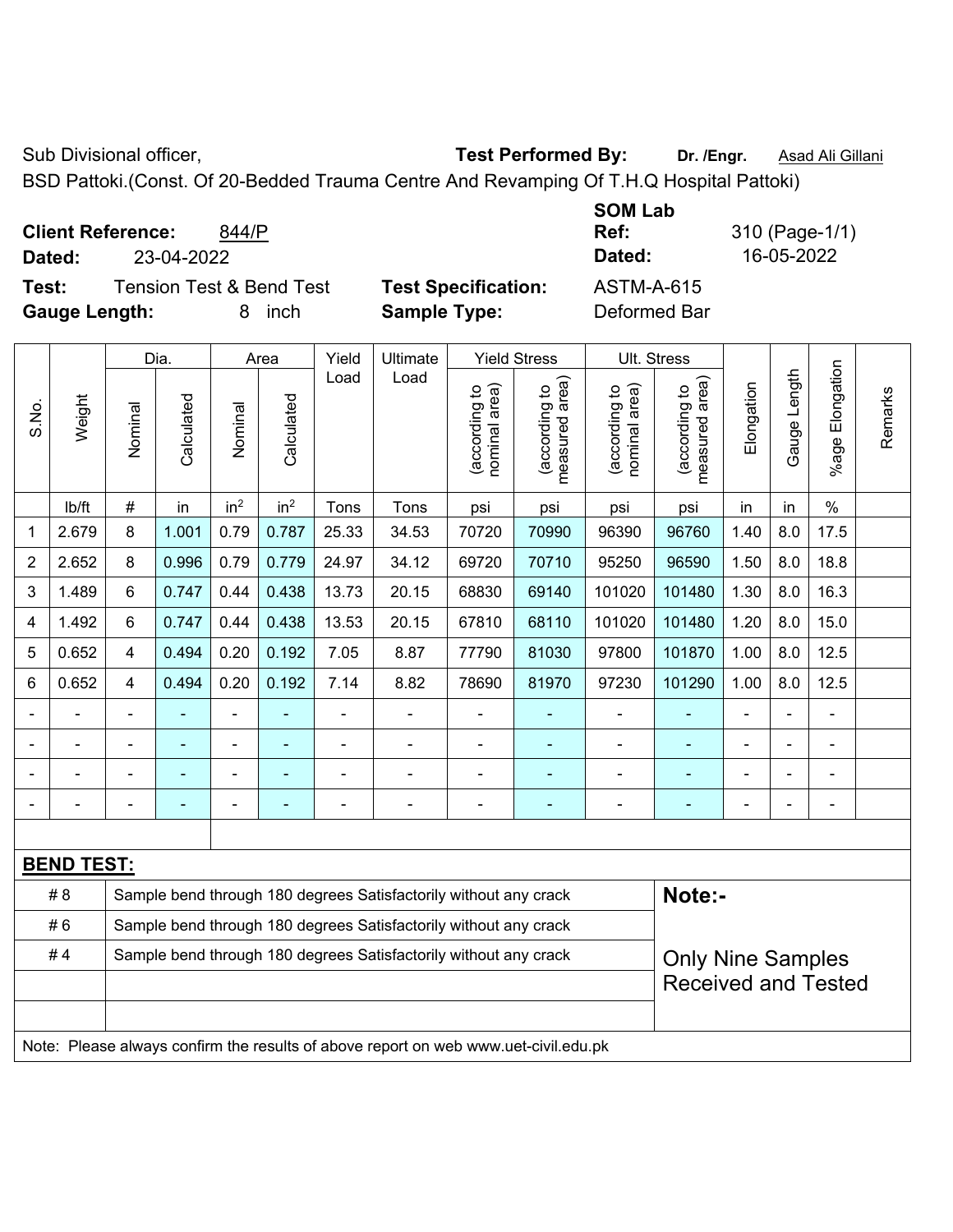Sub Divisional officer, **Test Performed By:** Dr. /Engr. **Asad Ali Gillani** Collection Association Association Association Association Association Association Association Association Association Association Association Asso

BSD Pattoki.(Const. Of 20-Bedded Trauma Centre And Revamping Of T.H.Q Hospital Pattoki)

**Client Reference:** 844/P

**Test:** Tension Test & Bend Test **Test Specification:** ASTM-A-615 **Gauge Length:** 8 inch **Sample Type:** Deformed Bar

**SOM Lab Ref:** 310 (Page-1/1) **Dated:** 23-04-2022 **Dated:** 16-05-2022

|       |                   |                         | Dia.                     |                 | Area            | Yield                    | Ultimate                                                                            |                                | <b>Yield Stress</b>                         |                                | Ult. Stress                                 |                |              |                       |         |
|-------|-------------------|-------------------------|--------------------------|-----------------|-----------------|--------------------------|-------------------------------------------------------------------------------------|--------------------------------|---------------------------------------------|--------------------------------|---------------------------------------------|----------------|--------------|-----------------------|---------|
| S.No. | Weight            | Nominal                 | Calculated               | Nominal         | Calculated      | Load                     | Load                                                                                | nominal area)<br>(according to | (according to<br>measured area)<br>measured | nominal area)<br>(according to | (according to<br>measured area)<br>measured | Elongation     | Gauge Length | Elongation<br>$%$ age | Remarks |
|       | lb/ft             | $\#$                    | in                       | in <sup>2</sup> | in <sup>2</sup> | Tons                     | Tons                                                                                | psi                            | psi                                         | psi                            | psi                                         | in             | in           | $\frac{0}{0}$         |         |
| 1     | 2.679             | 8                       | 1.001                    | 0.79            | 0.787           | 25.33                    | 34.53                                                                               | 70720                          | 70990                                       | 96390                          | 96760                                       | 1.40           | 8.0          | 17.5                  |         |
| 2     | 2.652             | 8                       | 0.996                    | 0.79            | 0.779           | 24.97                    | 34.12                                                                               | 69720                          | 70710                                       | 95250                          | 96590                                       | 1.50           | 8.0          | 18.8                  |         |
| 3     | 1.489             | 6                       | 0.747                    | 0.44            | 0.438           | 13.73                    | 20.15                                                                               | 68830                          | 69140                                       | 101020                         | 101480                                      | 1.30           | 8.0          | 16.3                  |         |
| 4     | 1.492             | 6                       | 0.747                    | 0.44            | 0.438           | 13.53                    | 20.15                                                                               | 67810                          | 68110                                       | 101020                         | 101480                                      | 1.20           | 8.0          | 15.0                  |         |
| 5     | 0.652             | 4                       | 0.494                    | 0.20            | 0.192           | 7.05                     | 8.87                                                                                | 77790                          | 81030                                       | 97800                          | 101870                                      | 1.00           | 8.0          | 12.5                  |         |
| 6     | 0.652             | $\overline{\mathbf{4}}$ | 0.494                    | 0.20            | 0.192           | 7.14                     | 8.82                                                                                | 78690                          | 81970                                       | 97230                          | 101290                                      | 1.00           | 8.0          | 12.5                  |         |
|       |                   |                         |                          |                 |                 |                          | ÷                                                                                   |                                |                                             |                                |                                             |                |              |                       |         |
|       |                   |                         |                          | ÷               |                 |                          | $\blacksquare$                                                                      | $\blacksquare$                 |                                             | $\blacksquare$                 |                                             |                |              | $\blacksquare$        |         |
|       |                   |                         | $\overline{\phantom{0}}$ | ÷               |                 |                          |                                                                                     |                                |                                             | $\blacksquare$                 | ۰                                           | ä,             |              | ÷                     |         |
|       |                   |                         | -                        | ÷               |                 | $\overline{\phantom{0}}$ | $\blacksquare$                                                                      | $\blacksquare$                 | $\blacksquare$                              | $\blacksquare$                 | ÷                                           | $\blacksquare$ |              | ÷,                    |         |
|       |                   |                         |                          |                 |                 |                          |                                                                                     |                                |                                             |                                |                                             |                |              |                       |         |
|       | <b>BEND TEST:</b> |                         |                          |                 |                 |                          |                                                                                     |                                |                                             |                                |                                             |                |              |                       |         |
|       | # 8               |                         |                          |                 |                 |                          | Sample bend through 180 degrees Satisfactorily without any crack                    |                                |                                             |                                | Note:-                                      |                |              |                       |         |
|       | #6                |                         |                          |                 |                 |                          | Sample bend through 180 degrees Satisfactorily without any crack                    |                                |                                             |                                |                                             |                |              |                       |         |
|       | #4                |                         |                          |                 |                 |                          | Sample bend through 180 degrees Satisfactorily without any crack                    |                                |                                             |                                | <b>Only Nine Samples</b>                    |                |              |                       |         |
|       |                   |                         |                          |                 |                 |                          |                                                                                     |                                |                                             |                                | <b>Received and Tested</b>                  |                |              |                       |         |
|       |                   |                         |                          |                 |                 |                          |                                                                                     |                                |                                             |                                |                                             |                |              |                       |         |
|       |                   |                         |                          |                 |                 |                          | Note: Please always confirm the results of above report on web www.uet-civil.edu.pk |                                |                                             |                                |                                             |                |              |                       |         |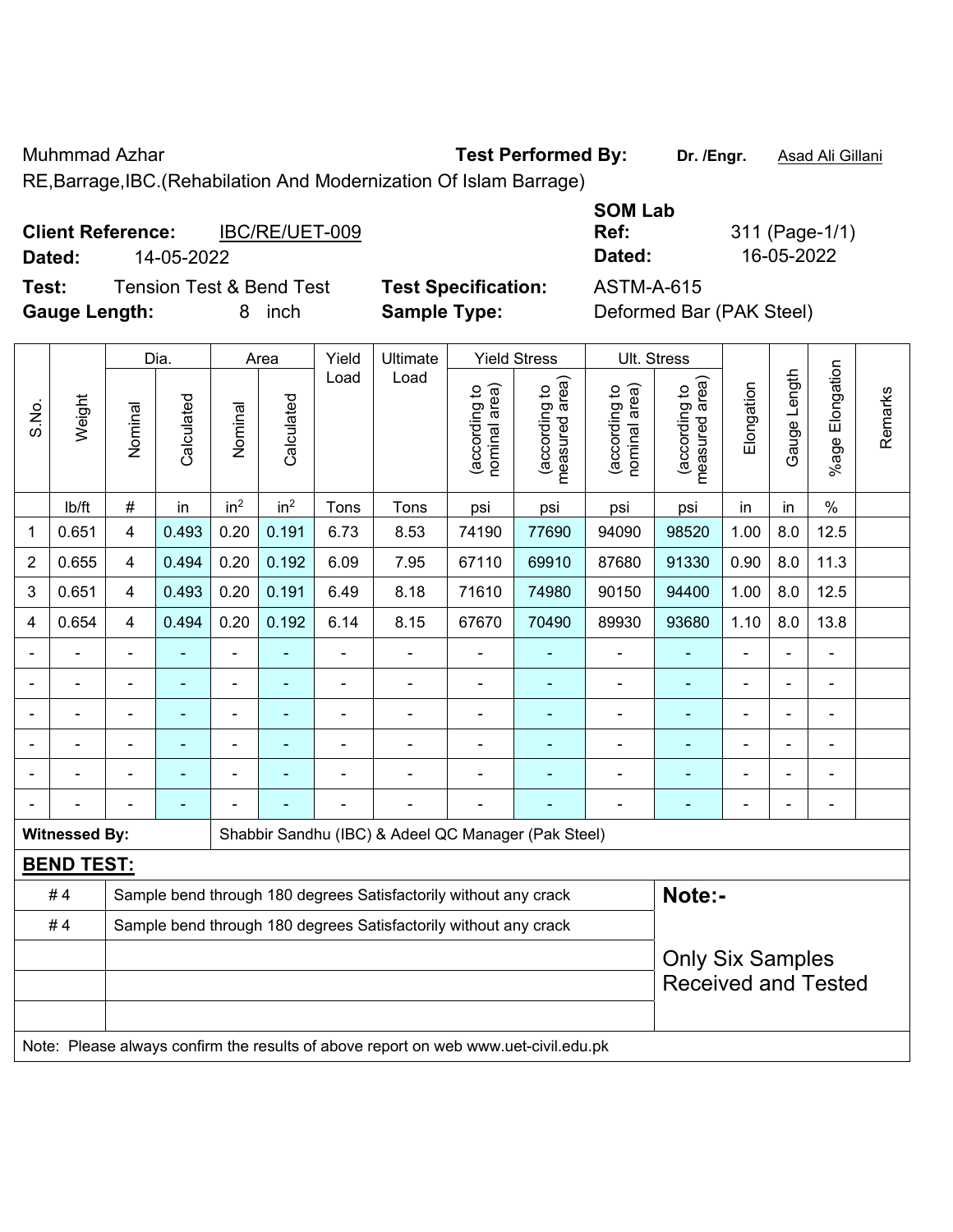Muhmmad Azhar **Test Performed By: Dr. /Engr.** Asad Ali Gillani

RE,Barrage,IBC.(Rehabilation And Modernization Of Islam Barrage)

|        | <b>Client Reference:</b> | IBC/RE/UET-009                      |                            | ---------<br>Ref: |
|--------|--------------------------|-------------------------------------|----------------------------|-------------------|
| Dated: | 14-05-2022               |                                     |                            | Dated:            |
| Test:  |                          | <b>Tension Test &amp; Bend Test</b> | <b>Test Specification:</b> | ASTM-A-615        |

**Gauge Length:** 8 inch **Sample Type:** Deformed Bar (PAK Steel)

**SOM Lab Ref:** 311 (Page-1/1) **Dated:** 14-05-2022 **Dated:** 16-05-2022

|                |                          |                | Dia.           |                 | Area            | Yield          | Ultimate                                                                            |                                | <b>Yield Stress</b>             | Ult. Stress                    |                                                       |                |                          |                       |         |
|----------------|--------------------------|----------------|----------------|-----------------|-----------------|----------------|-------------------------------------------------------------------------------------|--------------------------------|---------------------------------|--------------------------------|-------------------------------------------------------|----------------|--------------------------|-----------------------|---------|
| S.No.          | Weight                   | Nominal        | Calculated     | Nominal         | Calculated      | Load           | Load                                                                                | nominal area)<br>(according to | (according to<br>measured area) | nominal area)<br>(according to | (according to<br>measured area)                       | Elongation     | Gauge Length             | Elongation<br>$%$ age | Remarks |
|                | lb/ft                    | $\#$           | in             | in <sup>2</sup> | in <sup>2</sup> | Tons           | Tons                                                                                | psi                            | psi                             | psi                            | psi                                                   | in             | in                       | $\%$                  |         |
| 1              | 0.651                    | $\overline{4}$ | 0.493          | 0.20            | 0.191           | 6.73           | 8.53                                                                                | 74190                          | 77690                           | 94090                          | 98520                                                 | 1.00           | 8.0                      | 12.5                  |         |
| $\overline{2}$ | 0.655                    | $\overline{4}$ | 0.494          | 0.20            | 0.192           | 6.09           | 7.95                                                                                | 67110                          | 69910                           | 87680                          | 91330                                                 | 0.90           | 8.0                      | 11.3                  |         |
| 3              | 0.651                    | $\overline{4}$ | 0.493          | 0.20            | 0.191           | 6.49           | 8.18                                                                                | 71610                          | 74980                           | 90150                          | 94400                                                 | 1.00           | 8.0                      | 12.5                  |         |
| 4              | 0.654                    | $\overline{4}$ | 0.494          | 0.20            | 0.192           | 6.14           | 8.15                                                                                | 67670                          | 70490                           | 89930                          | 93680                                                 | 1.10           | 8.0                      | 13.8                  |         |
|                | ÷                        | ä,             | $\blacksquare$ | $\blacksquare$  |                 | $\blacksquare$ | $\blacksquare$                                                                      | $\blacksquare$                 |                                 | $\blacksquare$                 | ٠                                                     | $\blacksquare$ | $\overline{\phantom{a}}$ | $\blacksquare$        |         |
|                | $\overline{\phantom{0}}$ | $\blacksquare$ | $\blacksquare$ | $\blacksquare$  | ۰               | Ē,             | ÷                                                                                   | $\blacksquare$                 |                                 | $\overline{a}$                 | $\blacksquare$                                        | $\blacksquare$ |                          | $\blacksquare$        |         |
| $\blacksquare$ | ÷                        | $\blacksquare$ | ä,             | $\blacksquare$  |                 |                | ä,                                                                                  | $\blacksquare$                 |                                 | $\blacksquare$                 | ä,                                                    | $\blacksquare$ |                          | $\blacksquare$        |         |
|                |                          |                |                |                 |                 |                |                                                                                     |                                |                                 |                                |                                                       |                |                          |                       |         |
|                |                          |                |                |                 |                 |                |                                                                                     |                                |                                 |                                |                                                       |                |                          |                       |         |
| $\blacksquare$ |                          | $\blacksquare$ | ÷              |                 |                 |                | ÷                                                                                   | $\blacksquare$                 |                                 |                                | $\blacksquare$                                        | $\blacksquare$ |                          | $\blacksquare$        |         |
|                | <b>Witnessed By:</b>     |                |                |                 |                 |                | Shabbir Sandhu (IBC) & Adeel QC Manager (Pak Steel)                                 |                                |                                 |                                |                                                       |                |                          |                       |         |
|                | <b>BEND TEST:</b>        |                |                |                 |                 |                |                                                                                     |                                |                                 |                                |                                                       |                |                          |                       |         |
|                | #4                       |                |                |                 |                 |                | Sample bend through 180 degrees Satisfactorily without any crack                    |                                |                                 |                                | Note:-                                                |                |                          |                       |         |
|                | #4                       |                |                |                 |                 |                | Sample bend through 180 degrees Satisfactorily without any crack                    |                                |                                 |                                |                                                       |                |                          |                       |         |
|                |                          |                |                |                 |                 |                |                                                                                     |                                |                                 |                                | <b>Only Six Samples</b><br><b>Received and Tested</b> |                |                          |                       |         |
|                |                          |                |                |                 |                 |                | Note: Please always confirm the results of above report on web www.uet-civil.edu.pk |                                |                                 |                                |                                                       |                |                          |                       |         |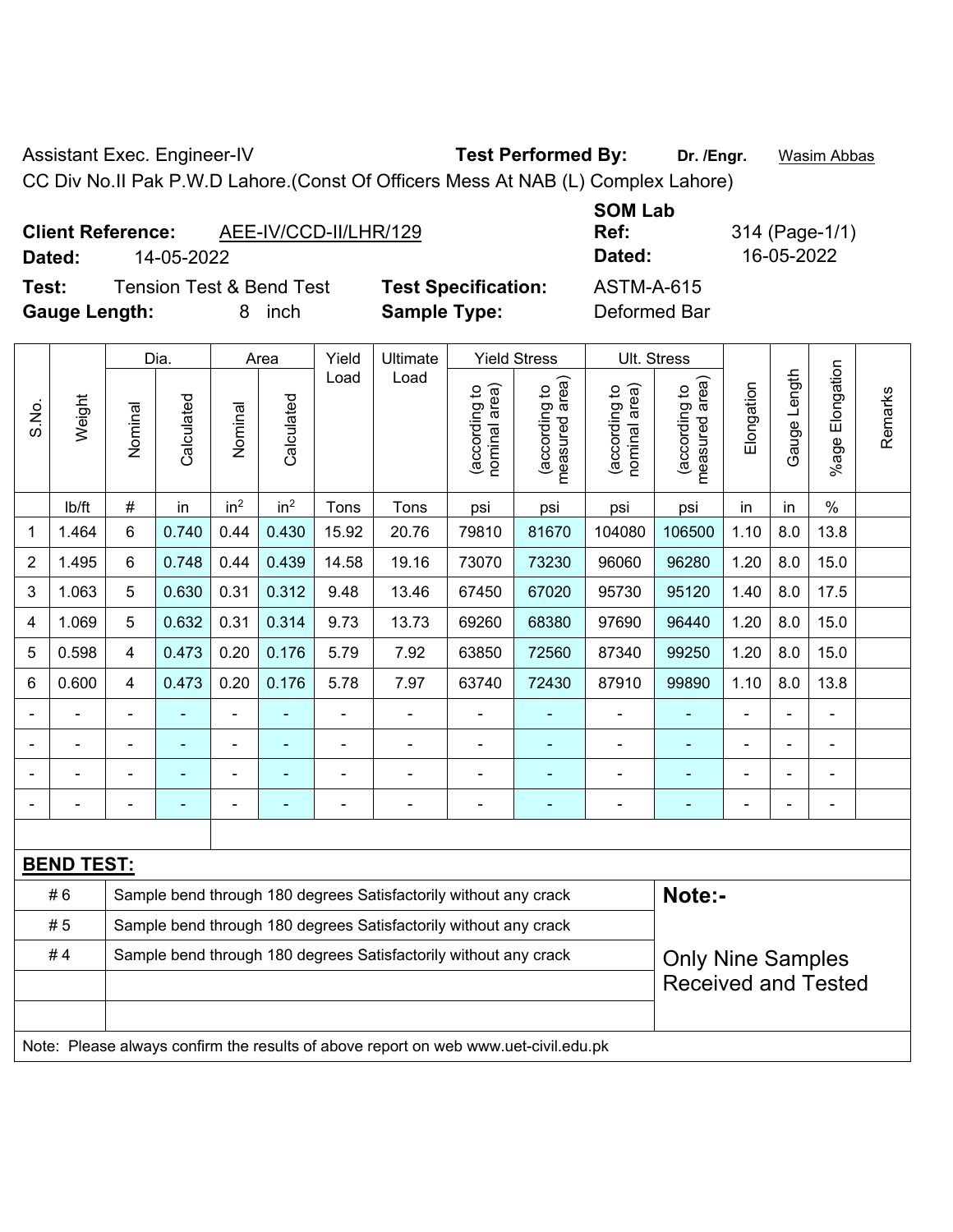Assistant Exec. Engineer-IV **Test Performed By:** Dr. /Engr. **Wasim Abbas** 

CC Div No.II Pak P.W.D Lahore.(Const Of Officers Mess At NAB (L) Complex Lahore)

| AEE-IV/CCD-II/LHR/129<br><b>Client Reference:</b> |
|---------------------------------------------------|
|---------------------------------------------------|

**Dated:** 14-05-2022 **Dated:** 16-05-2022

 $\top$ 

**Test:** Tension Test & Bend Test **Test Specification:** ASTM-A-615 **Gauge Length:** 8 inch **Sample Type:** Deformed Bar

**SOM Lab Ref:** 314 (Page-1/1)

|                           |        | Dia.                                                             |                                                                  | Area                     |                          | Yield          | Ultimate | <b>Yield Stress</b>               |                                    |                               | Ult. Stress                     |            |              |                              |         |
|---------------------------|--------|------------------------------------------------------------------|------------------------------------------------------------------|--------------------------|--------------------------|----------------|----------|-----------------------------------|------------------------------------|-------------------------------|---------------------------------|------------|--------------|------------------------------|---------|
| S.No.                     | Weight | Nominal                                                          | Calculated                                                       | Nominal                  | Calculated               | Load           | Load     | area)<br>(according to<br>nominal | area)<br>(according to<br>measured | nominal area)<br>decording to | measured area)<br>(according to | Elongation | Gauge Length | Elongation<br>$%$ age $ $    | Remarks |
|                           | lb/ft  | $\#$                                                             | in                                                               | in <sup>2</sup>          | in <sup>2</sup>          | Tons           | Tons     | psi                               | psi                                | psi                           | psi                             | in         | in           | $\%$                         |         |
| 1                         | 1.464  | 6                                                                | 0.740                                                            | 0.44                     | 0.430                    | 15.92          | 20.76    | 79810                             | 81670                              | 104080                        | 106500                          | 1.10       | 8.0          | 13.8                         |         |
| $\overline{2}$            | 1.495  | 6                                                                | 0.748                                                            | 0.44                     | 0.439                    | 14.58          | 19.16    | 73070                             | 73230                              | 96060                         | 96280                           | 1.20       | 8.0          | 15.0                         |         |
| $\ensuremath{\mathsf{3}}$ | 1.063  | 5                                                                | 0.630                                                            | 0.31                     | 0.312                    | 9.48           | 13.46    | 67450                             | 67020                              | 95730                         | 95120                           | 1.40       | 8.0          | 17.5                         |         |
| 4                         | 1.069  | 5                                                                | 0.632                                                            | 0.31                     | 0.314                    | 9.73           | 13.73    | 69260                             | 68380                              | 97690                         | 96440                           | 1.20       | 8.0          | 15.0                         |         |
| $\mathbf 5$               | 0.598  | $\overline{4}$                                                   | 0.473                                                            | 0.20                     | 0.176                    | 5.79           | 7.92     | 63850                             | 72560                              | 87340                         | 99250                           | 1.20       | 8.0          | 15.0                         |         |
| $\,6$                     | 0.600  | $\overline{4}$                                                   | 0.473                                                            | 0.20                     | 0.176                    | 5.78           | 7.97     | 63740                             | 72430                              | 87910                         | 99890                           | 1.10       | 8.0          | 13.8                         |         |
|                           |        |                                                                  |                                                                  |                          |                          |                |          |                                   |                                    | $\blacksquare$                |                                 |            |              |                              |         |
|                           |        |                                                                  |                                                                  |                          | ۰                        |                |          | $\overline{\phantom{0}}$          | ٠                                  | $\blacksquare$                | $\blacksquare$                  |            |              | $\blacksquare$               |         |
|                           |        | $\blacksquare$                                                   | ۰                                                                | $\overline{\phantom{0}}$ | $\overline{\phantom{0}}$ | $\blacksquare$ |          | $\blacksquare$                    | ۰                                  | $\overline{a}$                |                                 |            |              | $\qquad \qquad \blacksquare$ |         |
|                           |        |                                                                  |                                                                  |                          |                          |                |          | $\blacksquare$                    | ۰                                  | ٠                             |                                 |            |              | $\blacksquare$               |         |
|                           |        |                                                                  |                                                                  |                          |                          |                |          |                                   |                                    |                               |                                 |            |              |                              |         |
| <b>BEND TEST:</b>         |        |                                                                  |                                                                  |                          |                          |                |          |                                   |                                    |                               |                                 |            |              |                              |         |
| #6                        |        |                                                                  | Sample bend through 180 degrees Satisfactorily without any crack |                          |                          |                |          |                                   |                                    |                               | Note:-                          |            |              |                              |         |
| #5                        |        |                                                                  | Sample bend through 180 degrees Satisfactorily without any crack |                          |                          |                |          |                                   |                                    |                               |                                 |            |              |                              |         |
| #4                        |        | Sample bend through 180 degrees Satisfactorily without any crack |                                                                  |                          |                          |                |          |                                   | <b>Only Nine Samples</b>           |                               |                                 |            |              |                              |         |
|                           |        |                                                                  |                                                                  |                          |                          |                |          |                                   |                                    | <b>Received and Tested</b>    |                                 |            |              |                              |         |
|                           |        |                                                                  |                                                                  |                          |                          |                |          |                                   |                                    |                               |                                 |            |              |                              |         |
|                           |        |                                                                  |                                                                  |                          |                          |                |          |                                   |                                    |                               |                                 |            |              |                              |         |

Note: Please always confirm the results of above report on web www.uet-civil.edu.pk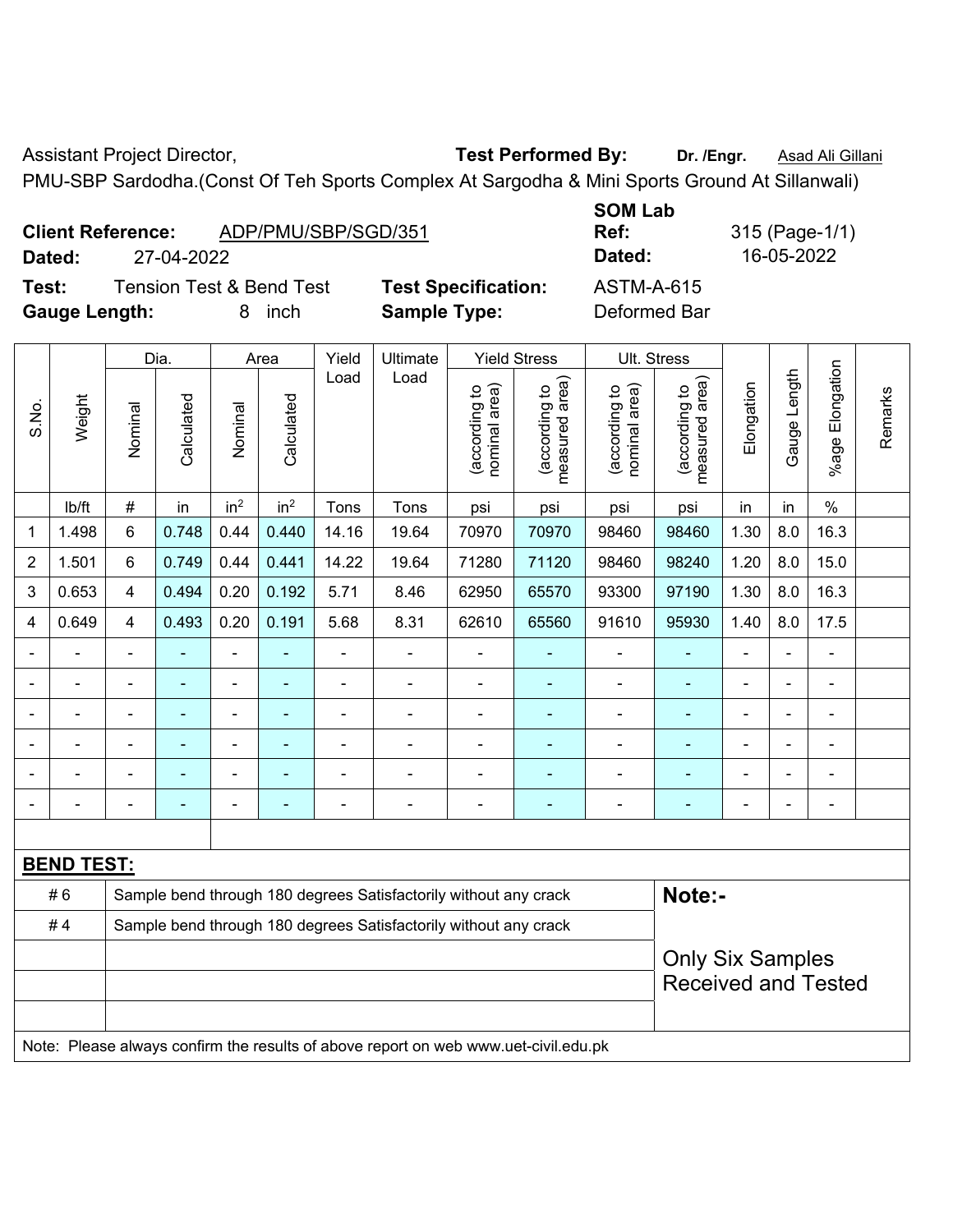Assistant Project Director, **Test Performed By:** Dr. /Engr. **Asad Ali Gillani** 

PMU-SBP Sardodha.(Const Of Teh Sports Complex At Sargodha & Mini Sports Ground At Sillanwali)

|        | <b>Client Reference:</b><br>ADP/PMU/SBP/SGD/351 |                            | <b>UUIVI LAD</b><br>Ref: | 315 (Page-1/ |  |  |
|--------|-------------------------------------------------|----------------------------|--------------------------|--------------|--|--|
| Dated: | 27-04-2022                                      |                            | Dated:                   | 16-05-2022   |  |  |
| Test:  | <b>Tension Test &amp; Bend Test</b>             | <b>Test Specification:</b> | ASTM-A-615               |              |  |  |

**Gauge Length:** 8 inch **Sample Type:** Deformed Bar

**SOM Lab Ref:** 315 (Page-1/1)

|                   | Weight                                                                              |                                                                            | Dia.<br>Area |                 | Yield           | Ultimate       | <b>Yield Stress</b> |                                | Ult. Stress                     |                                |                                 |                |              |                       |         |
|-------------------|-------------------------------------------------------------------------------------|----------------------------------------------------------------------------|--------------|-----------------|-----------------|----------------|---------------------|--------------------------------|---------------------------------|--------------------------------|---------------------------------|----------------|--------------|-----------------------|---------|
| S.No.             |                                                                                     | Nominal                                                                    | Calculated   | Nominal         | Calculated      | Load           | Load                | nominal area)<br>(according to | (according to<br>measured area) | nominal area)<br>(according to | (according to<br>measured area) | Elongation     | Gauge Length | Elongation<br>$%$ age | Remarks |
|                   | lb/ft                                                                               | #                                                                          | in           | in <sup>2</sup> | in <sup>2</sup> | Tons           | Tons                | psi                            | psi                             | psi                            | psi                             | in             | in           | $\%$                  |         |
| $\mathbf{1}$      | 1.498                                                                               | 6                                                                          | 0.748        | 0.44            | 0.440           | 14.16          | 19.64               | 70970                          | 70970                           | 98460                          | 98460                           | 1.30           | 8.0          | 16.3                  |         |
| $\overline{2}$    | 1.501                                                                               | 6                                                                          | 0.749        | 0.44            | 0.441           | 14.22          | 19.64               | 71280                          | 71120                           | 98460                          | 98240                           | 1.20           | 8.0          | 15.0                  |         |
| 3                 | 0.653                                                                               | $\overline{4}$                                                             | 0.494        | 0.20            | 0.192           | 5.71           | 8.46                | 62950                          | 65570                           | 93300                          | 97190                           | 1.30           | 8.0          | 16.3                  |         |
| 4                 | 0.649                                                                               | $\overline{4}$                                                             | 0.493        | 0.20            | 0.191           | 5.68           | 8.31                | 62610                          | 65560                           | 91610                          | 95930                           | 1.40           | 8.0          | 17.5                  |         |
|                   |                                                                                     | $\overline{\phantom{a}}$                                                   | ÷,           | $\blacksquare$  |                 | $\blacksquare$ | $\blacksquare$      | $\blacksquare$                 |                                 | ÷                              | $\blacksquare$                  | $\blacksquare$ |              | $\blacksquare$        |         |
|                   |                                                                                     | $\blacksquare$                                                             | ä,           | $\blacksquare$  | ÷               | L,             | $\blacksquare$      | L,                             | Ξ                               | $\blacksquare$                 | $\blacksquare$                  | L.             |              | $\blacksquare$        |         |
|                   |                                                                                     | ä,                                                                         | ä,           | ä,              | $\blacksquare$  | L,             | ä,                  | ä,                             |                                 | $\blacksquare$                 | ä,                              | L,             |              | ä,                    |         |
|                   |                                                                                     |                                                                            |              | $\blacksquare$  |                 | ä,             | $\blacksquare$      | $\blacksquare$                 |                                 | $\blacksquare$                 |                                 | ä,             |              | ä,                    |         |
|                   |                                                                                     |                                                                            | ÷            | ÷               |                 | ä,             | $\overline{a}$      | $\blacksquare$                 | ÷                               | $\blacksquare$                 | $\blacksquare$                  | -              |              | $\blacksquare$        |         |
|                   |                                                                                     | $\overline{\phantom{0}}$                                                   | ۰            | $\blacksquare$  | $\overline{a}$  | -              | $\overline{a}$      | -                              | ۰                               | $\overline{\phantom{a}}$       | $\blacksquare$                  | $\overline{a}$ |              | $\blacksquare$        |         |
|                   |                                                                                     |                                                                            |              |                 |                 |                |                     |                                |                                 |                                |                                 |                |              |                       |         |
| <b>BEND TEST:</b> |                                                                                     |                                                                            |              |                 |                 |                |                     |                                |                                 |                                |                                 |                |              |                       |         |
|                   | #6                                                                                  | Sample bend through 180 degrees Satisfactorily without any crack<br>Note:- |              |                 |                 |                |                     |                                |                                 |                                |                                 |                |              |                       |         |
|                   | #4                                                                                  | Sample bend through 180 degrees Satisfactorily without any crack           |              |                 |                 |                |                     |                                |                                 |                                |                                 |                |              |                       |         |
|                   |                                                                                     |                                                                            |              |                 |                 |                |                     |                                |                                 |                                | <b>Only Six Samples</b>         |                |              |                       |         |
|                   |                                                                                     |                                                                            |              |                 |                 |                |                     |                                | <b>Received and Tested</b>      |                                |                                 |                |              |                       |         |
|                   |                                                                                     |                                                                            |              |                 |                 |                |                     |                                |                                 |                                |                                 |                |              |                       |         |
|                   | Note: Please always confirm the results of above report on web www.uet-civil.edu.pk |                                                                            |              |                 |                 |                |                     |                                |                                 |                                |                                 |                |              |                       |         |